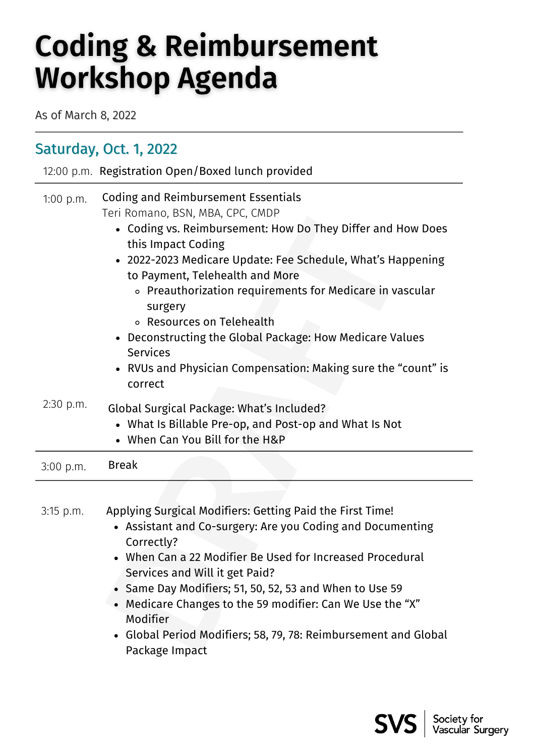## **Coding & Reimbursement Workshop Agenda**

As of March 8, 2022

## Saturday, Oct. 1, 2022

|             | 12:00 p.m. Registration Open/Boxed lunch provided                                                                                                                                                                                                                                                                                                                                                                                                                                                                                    |  |
|-------------|--------------------------------------------------------------------------------------------------------------------------------------------------------------------------------------------------------------------------------------------------------------------------------------------------------------------------------------------------------------------------------------------------------------------------------------------------------------------------------------------------------------------------------------|--|
| 1:00 p.m.   | <b>Coding and Reimbursement Essentials</b><br>Teri Romano, BSN, MBA, CPC, CMDP<br>• Coding vs. Reimbursement: How Do They Differ and How Does<br>this Impact Coding<br>• 2022-2023 Medicare Update: Fee Schedule, What's Happening<br>to Payment, Telehealth and More<br>○ Preauthorization requirements for Medicare in vascular<br>surgery<br>○ Resources on Telehealth<br>• Deconstructing the Global Package: How Medicare Values<br><b>Services</b><br>• RVUs and Physician Compensation: Making sure the "count" is<br>correct |  |
| 2:30 p.m.   | Global Surgical Package: What's Included?<br>• What Is Billable Pre-op, and Post-op and What Is Not<br>• When Can You Bill for the H&P                                                                                                                                                                                                                                                                                                                                                                                               |  |
| $3:00$ p.m. | <b>Break</b>                                                                                                                                                                                                                                                                                                                                                                                                                                                                                                                         |  |
|             |                                                                                                                                                                                                                                                                                                                                                                                                                                                                                                                                      |  |
| $3:15$ p.m. | Applying Surgical Modifiers: Getting Paid the First Time!<br>• Assistant and Co-surgery: Are you Coding and Documenting<br>Correctly?<br>• When Can a 22 Modifier Be Used for Increased Procedural<br>Services and Will it get Paid?<br>• Same Day Modifiers; 51, 50, 52, 53 and When to Use 59<br>• Medicare Changes to the 59 modifier: Can We Use the "X"<br>Modifier<br>• Global Period Modifiers; 58, 79, 78: Reimbursement and Global<br>Package Impact                                                                        |  |

- Assistant and Co-surgery: Are you Coding and Documenting Correctly?
- When Can a 22 Modifier Be Used for Increased Procedural Services and Will it get Paid?
- Same Day Modifiers; 51, 50, 52, 53 and When to Use 59
- Medicare Changes to the 59 modifier: Can We Use the "X" Modifier
- Global Period Modifiers; 58, 79, 78: Reimbursement and Global Package Impact

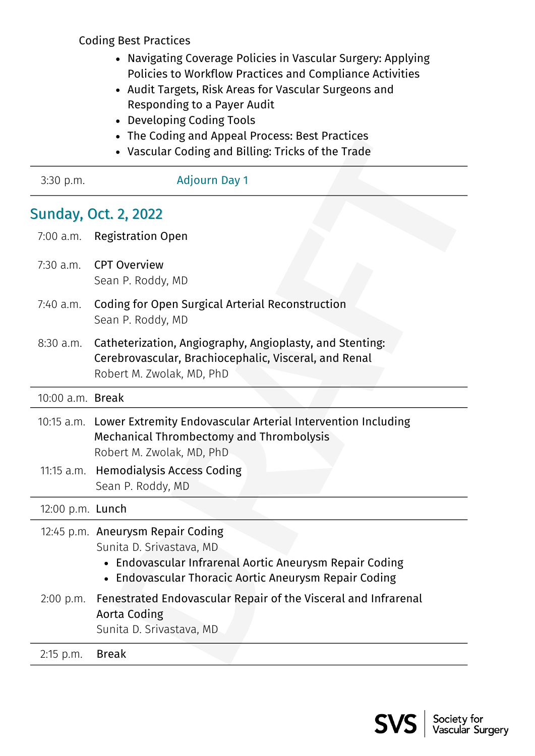Coding Best Practices

- Navigating Coverage Policies in Vascular Surgery: Applying Policies to Workflow Practices and Compliance Activities
- Audit Targets, Risk Areas for Vascular Surgeons and Responding to a Payer Audit
- Developing Coding Tools
- The Coding and Appeal Process: Best Practices
- Vascular Coding and Billing: Tricks of the Trade

| The County and Appear Frocess. Descriptures<br>• Vascular Coding and Billing: Tricks of the Trade |                                                                                                                                                                                   |  |
|---------------------------------------------------------------------------------------------------|-----------------------------------------------------------------------------------------------------------------------------------------------------------------------------------|--|
| 3:30 p.m.                                                                                         | <b>Adjourn Day 1</b>                                                                                                                                                              |  |
|                                                                                                   | <b>Sunday, Oct. 2, 2022</b>                                                                                                                                                       |  |
| $7:00$ a.m.                                                                                       | <b>Registration Open</b>                                                                                                                                                          |  |
| $7:30$ a.m.                                                                                       | <b>CPT Overview</b><br>Sean P. Roddy, MD                                                                                                                                          |  |
| 7:40 a.m.                                                                                         | Coding for Open Surgical Arterial Reconstruction<br>Sean P. Roddy, MD                                                                                                             |  |
| $8:30$ a.m.                                                                                       | Catheterization, Angiography, Angioplasty, and Stenting:<br>Cerebrovascular, Brachiocephalic, Visceral, and Renal<br>Robert M. Zwolak, MD, PhD                                    |  |
| 10:00 a.m. Break                                                                                  |                                                                                                                                                                                   |  |
|                                                                                                   | 10:15 a.m. Lower Extremity Endovascular Arterial Intervention Including<br><b>Mechanical Thrombectomy and Thrombolysis</b><br>Robert M. Zwolak, MD, PhD                           |  |
|                                                                                                   | 11:15 a.m. Hemodialysis Access Coding<br>Sean P. Roddy, MD                                                                                                                        |  |
| 12:00 p.m. Lunch                                                                                  |                                                                                                                                                                                   |  |
|                                                                                                   | 12:45 p.m. Aneurysm Repair Coding<br>Sunita D. Srivastava, MD<br>• Endovascular Infrarenal Aortic Aneurysm Repair Coding<br>• Endovascular Thoracic Aortic Aneurysm Repair Coding |  |
| $2:00$ p.m.                                                                                       | Fenestrated Endovascular Repair of the Visceral and Infrarenal<br>Aorta Coding<br>Sunita D. Srivastava, MD                                                                        |  |
| 2:15 p.m.                                                                                         | <b>Break</b>                                                                                                                                                                      |  |
|                                                                                                   |                                                                                                                                                                                   |  |